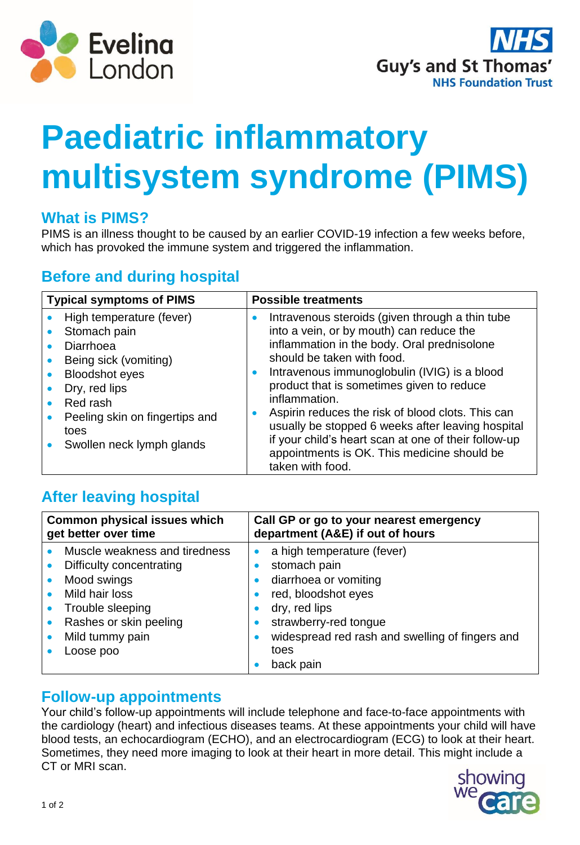



# **Paediatric inflammatory multisystem syndrome (PIMS)**

### **What is PIMS?**

PIMS is an illness thought to be caused by an earlier COVID-19 infection a few weeks before, which has provoked the immune system and triggered the inflammation.

# **Before and during hospital**

| <b>Typical symptoms of PIMS</b>                                                                                                                                                                                                       | <b>Possible treatments</b>                                                                                                                                                                                                                                                                                                                                                                                                                                                                                                               |
|---------------------------------------------------------------------------------------------------------------------------------------------------------------------------------------------------------------------------------------|------------------------------------------------------------------------------------------------------------------------------------------------------------------------------------------------------------------------------------------------------------------------------------------------------------------------------------------------------------------------------------------------------------------------------------------------------------------------------------------------------------------------------------------|
| High temperature (fever)<br>Stomach pain<br>Diarrhoea<br>Being sick (vomiting)<br>$\bullet$<br><b>Bloodshot eyes</b><br>$\bullet$<br>Dry, red lips<br>Red rash<br>Peeling skin on fingertips and<br>toes<br>Swollen neck lymph glands | Intravenous steroids (given through a thin tube<br>into a vein, or by mouth) can reduce the<br>inflammation in the body. Oral prednisolone<br>should be taken with food.<br>Intravenous immunoglobulin (IVIG) is a blood<br>$\bullet$<br>product that is sometimes given to reduce<br>inflammation.<br>Aspirin reduces the risk of blood clots. This can<br>usually be stopped 6 weeks after leaving hospital<br>if your child's heart scan at one of their follow-up<br>appointments is OK. This medicine should be<br>taken with food. |

# **After leaving hospital**

|                                                                                                                                                                                                                                                                                                                                                                   | <b>Common physical issues which</b><br>get better over time | Call GP or go to your nearest emergency<br>department (A&E) if out of hours |
|-------------------------------------------------------------------------------------------------------------------------------------------------------------------------------------------------------------------------------------------------------------------------------------------------------------------------------------------------------------------|-------------------------------------------------------------|-----------------------------------------------------------------------------|
| Muscle weakness and tiredness<br>a high temperature (fever)<br>stomach pain<br>Difficulty concentrating<br>Mood swings<br>diarrhoea or vomiting<br>$\bullet$<br>Mild hair loss<br>red, bloodshot eyes<br>Trouble sleeping<br>dry, red lips<br>$\bullet$<br>• Rashes or skin peeling<br>strawberry-red tongue<br>Mild tummy pain<br>toes<br>Loose poo<br>back pain |                                                             | widespread red rash and swelling of fingers and                             |

#### **Follow-up appointments**

Your child's follow-up appointments will include telephone and face-to-face appointments with the cardiology (heart) and infectious diseases teams. At these appointments your child will have blood tests, an echocardiogram (ECHO), and an electrocardiogram (ECG) to look at their heart. Sometimes, they need more imaging to look at their heart in more detail. This might include a CT or MRI scan.